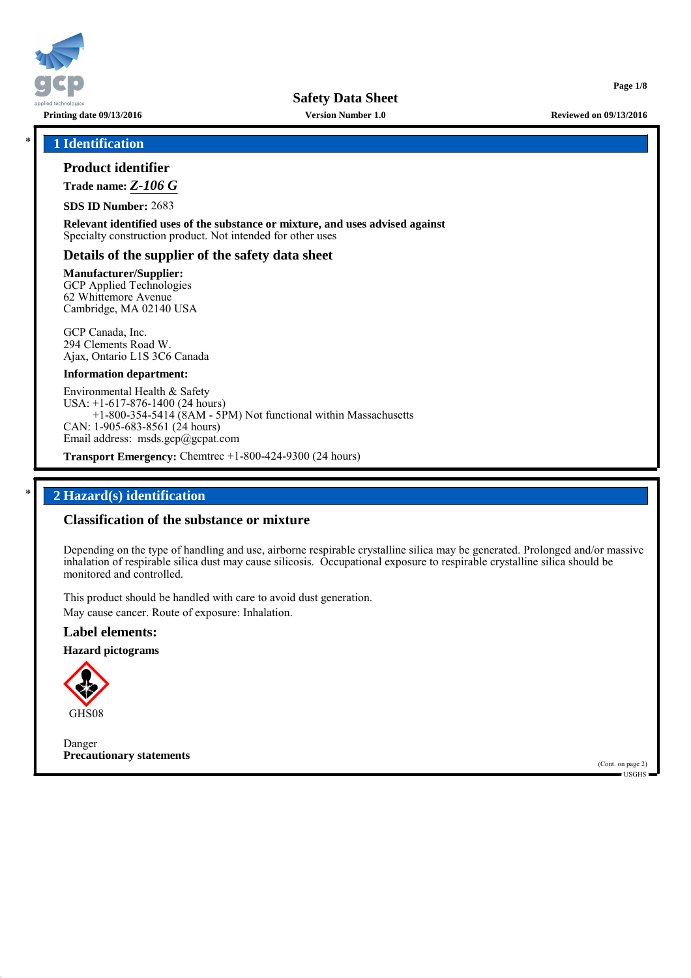

\* **1 Identification**

## **Product identifier**

**Trade name:** *Z-106 G*

**SDS ID Number:** 2683

**Relevant identified uses of the substance or mixture, and uses advised against** Specialty construction product. Not intended for other uses

## **Details of the supplier of the safety data sheet**

**Manufacturer/Supplier:** GCP Applied Technologies 62 Whittemore Avenue Cambridge, MA 02140 USA

GCP Canada, Inc. 294 Clements Road W. Ajax, Ontario L1S 3C6 Canada

### **Information department:**

Environmental Health & Safety USA: +1-617-876-1400 (24 hours) +1-800-354-5414 (8AM - 5PM) Not functional within Massachusetts CAN: 1-905-683-8561 (24 hours) Email address: msds.gcp@gcpat.com

**Transport Emergency:** Chemtrec +1-800-424-9300 (24 hours)

## \* **2 Hazard(s) identification**

## **Classification of the substance or mixture**

Depending on the type of handling and use, airborne respirable crystalline silica may be generated. Prolonged and/or massive inhalation of respirable silica dust may cause silicosis. Occupational exposure to respirable crystalline silica should be monitored and controlled.

This product should be handled with care to avoid dust generation. May cause cancer. Route of exposure: Inhalation.

## **Label elements:**

**Hazard pictograms**



Danger **Precautionary statements**

(Cont. on page 2) USGHS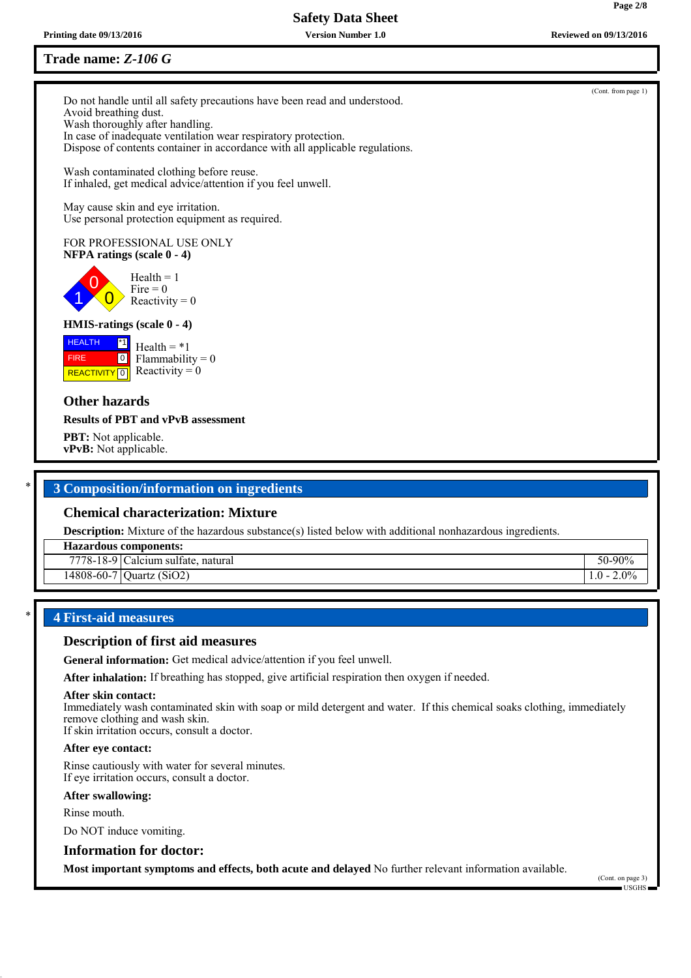## **Trade name:** *Z-106 G*

Do not handle until all safety precautions have been read and understood. Avoid breathing dust. Wash thoroughly after handling. In case of inadequate ventilation wear respiratory protection. Dispose of contents container in accordance with all applicable regulations.

Wash contaminated clothing before reuse. If inhaled, get medical advice/attention if you feel unwell.

May cause skin and eye irritation. Use personal protection equipment as required.

### FOR PROFESSIONAL USE ONLY **NFPA ratings (scale 0 - 4)**

0  $\overline{0}$  $Health = 1$ Fire  $= 0$ Reactivity  $= 0$ 

## **HMIS-ratings (scale 0 - 4)**

 HEALTH **REACTIVITY** 0 \*1  $\boxed{0}$  $Health = *1$ Reactivity  $= 0$ 

## **Other hazards**

1

FIRE

### **Results of PBT and vPvB assessment**

**PBT:** Not applicable. **vPvB:** Not applicable.

## \* **3 Composition/information on ingredients**

## **Chemical characterization: Mixture**

**Description:** Mixture of the hazardous substance(s) listed below with additional nonhazardous ingredients.

**Hazardous components:**

| 7770<br>1 O<br>$\sqrt{8}$<br>$10-$<br>∽ | $\sim$<br>(111)<br>sultate<br>alcium.<br>natural<br>.<br>. | 00 <sub>0</sub><br>чь<br>″∩ |
|-----------------------------------------|------------------------------------------------------------|-----------------------------|
|                                         |                                                            |                             |

14808-60-7 Quartz (SiO2) 1.0 - 2.0% 1.0 - 2.0%

## \* **4 First-aid measures**

## **Description of first aid measures**

**General information:** Get medical advice/attention if you feel unwell.

**After inhalation:** If breathing has stopped, give artificial respiration then oxygen if needed.

#### **After skin contact:**

Immediately wash contaminated skin with soap or mild detergent and water. If this chemical soaks clothing, immediately remove clothing and wash skin.

If skin irritation occurs, consult a doctor.

### **After eye contact:**

Rinse cautiously with water for several minutes. If eye irritation occurs, consult a doctor.

### **After swallowing:**

Rinse mouth.

Do NOT induce vomiting.

## **Information for doctor:**

**Most important symptoms and effects, both acute and delayed** No further relevant information available.

(Cont. on page 3) USGHS



## (Cont. from page 1)

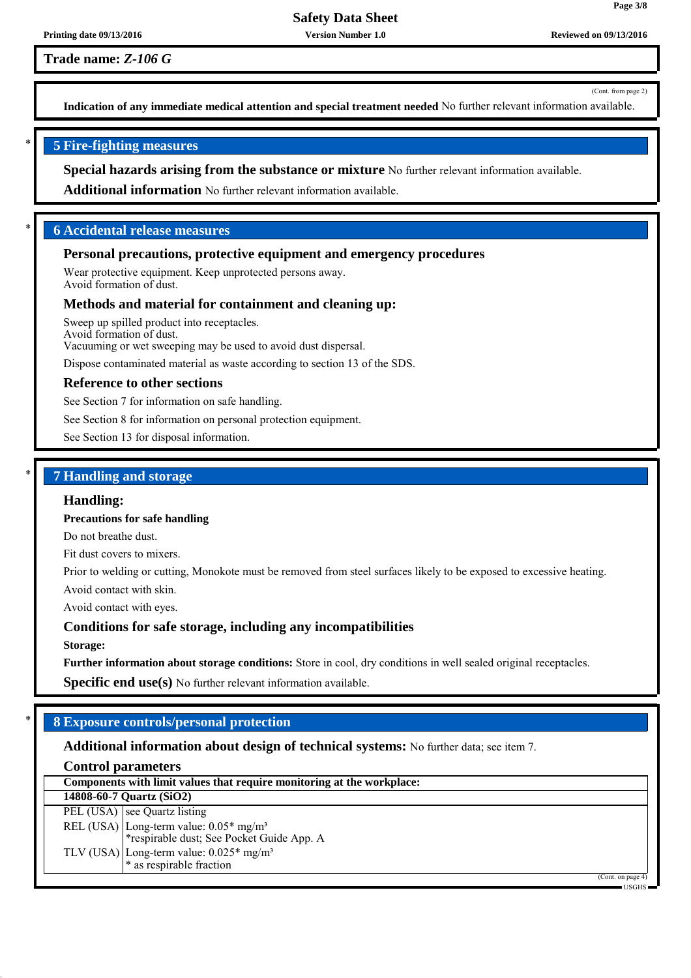**Trade name:** *Z-106 G*

(Cont. from page 2)

**Page 3/8**

**Indication of any immediate medical attention and special treatment needed** No further relevant information available.

## \* **5 Fire-fighting measures**

**Special hazards arising from the substance or mixture** No further relevant information available.

**Additional information** No further relevant information available.

## \* **6 Accidental release measures**

### **Personal precautions, protective equipment and emergency procedures**

Wear protective equipment. Keep unprotected persons away. Avoid formation of dust.

### **Methods and material for containment and cleaning up:**

Sweep up spilled product into receptacles. Avoid formation of dust. Vacuuming or wet sweeping may be used to avoid dust dispersal.

Dispose contaminated material as waste according to section 13 of the SDS.

#### **Reference to other sections**

See Section 7 for information on safe handling.

See Section 8 for information on personal protection equipment.

See Section 13 for disposal information.

## \* **7 Handling and storage**

### **Handling:**

**Precautions for safe handling**

Do not breathe dust.

Fit dust covers to mixers.

Prior to welding or cutting, Monokote must be removed from steel surfaces likely to be exposed to excessive heating.

Avoid contact with skin.

Avoid contact with eyes.

### **Conditions for safe storage, including any incompatibilities**

**Storage:**

**Further information about storage conditions:** Store in cool, dry conditions in well sealed original receptacles.

**Specific end use(s)** No further relevant information available.

## \* **8 Exposure controls/personal protection**

## **Additional information about design of technical systems:** No further data; see item 7.

## **Control parameters**

| Components with limit values that require monitoring at the workplace:                          |           |  |
|-------------------------------------------------------------------------------------------------|-----------|--|
| 14808-60-7 Quartz (SiO2)                                                                        |           |  |
| PEL (USA) see Quartz listing                                                                    |           |  |
| REL (USA) Long-term value: 0.05* mg/m <sup>3</sup><br>*respirable dust; See Pocket Guide App. A |           |  |
| TLV (USA) Long-term value: $0.025*$ mg/m <sup>3</sup><br>$*$ as respirable fraction             |           |  |
| (Cont. on page 4)                                                                               | $TSGHS =$ |  |

USGHS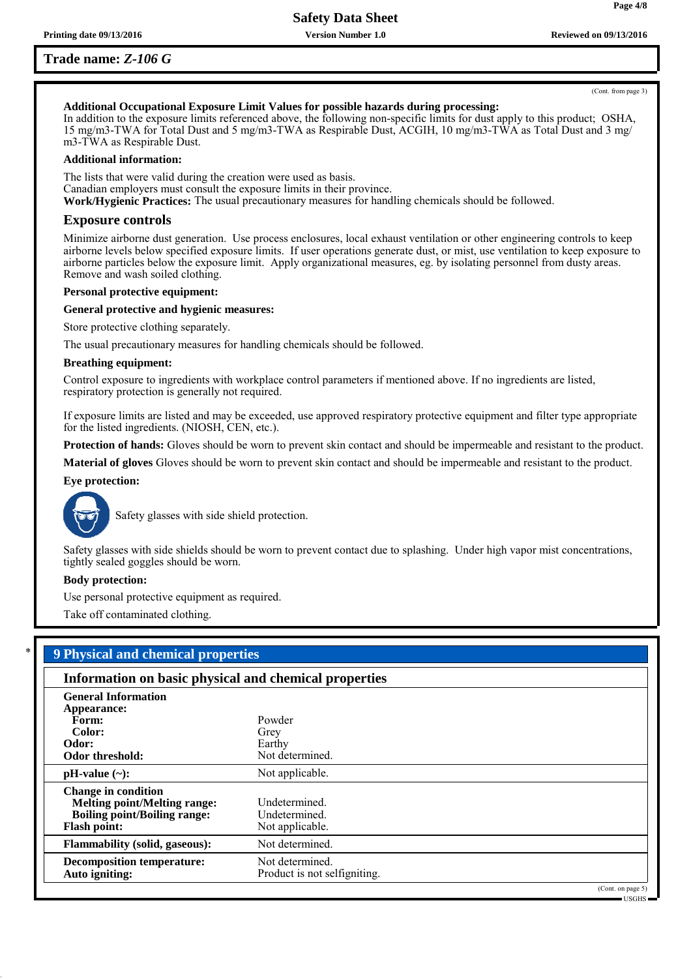**Page 4/8**

## **Additional Occupational Exposure Limit Values for possible hazards during processing:**

In addition to the exposure limits referenced above, the following non-specific limits for dust apply to this product; OSHA, 15 mg/m3-TWA for Total Dust and 5 mg/m3-TWA as Respirable Dust, ACGIH, 10 mg/m3-TWA as Total Dust and 3 mg/ m3-TWA as Respirable Dust.

#### **Additional information:**

The lists that were valid during the creation were used as basis. Canadian employers must consult the exposure limits in their province. **Work/Hygienic Practices:** The usual precautionary measures for handling chemicals should be followed.

#### **Exposure controls**

Minimize airborne dust generation. Use process enclosures, local exhaust ventilation or other engineering controls to keep airborne levels below specified exposure limits. If user operations generate dust, or mist, use ventilation to keep exposure to airborne particles below the exposure limit. Apply organizational measures, eg. by isolating personnel from dusty areas. Remove and wash soiled clothing.

#### **Personal protective equipment:**

#### **General protective and hygienic measures:**

Store protective clothing separately.

The usual precautionary measures for handling chemicals should be followed.

#### **Breathing equipment:**

Control exposure to ingredients with workplace control parameters if mentioned above. If no ingredients are listed, respiratory protection is generally not required.

If exposure limits are listed and may be exceeded, use approved respiratory protective equipment and filter type appropriate for the listed ingredients. (NIOSH, CEN, etc.).

**Protection of hands:** Gloves should be worn to prevent skin contact and should be impermeable and resistant to the product.

**Material of gloves** Gloves should be worn to prevent skin contact and should be impermeable and resistant to the product.

#### **Eye protection:**



Safety glasses with side shield protection.

Safety glasses with side shields should be worn to prevent contact due to splashing. Under high vapor mist concentrations, tightly sealed goggles should be worn.

#### **Body protection:**

Use personal protective equipment as required.

Take off contaminated clothing.

| Information on basic physical and chemical properties |                              |  |  |
|-------------------------------------------------------|------------------------------|--|--|
| <b>General Information</b>                            |                              |  |  |
| Appearance:                                           |                              |  |  |
| Form:                                                 | Powder                       |  |  |
| Color:                                                | Grey                         |  |  |
| Odor:                                                 | Earthy                       |  |  |
| Odor threshold:                                       | Not determined.              |  |  |
| $pH-value$ (~):                                       | Not applicable.              |  |  |
| <b>Change in condition</b>                            |                              |  |  |
| <b>Melting point/Melting range:</b>                   | Undetermined.                |  |  |
| <b>Boiling point/Boiling range:</b>                   | Undetermined.                |  |  |
| <b>Flash point:</b>                                   | Not applicable.              |  |  |
| <b>Flammability (solid, gaseous):</b>                 | Not determined.              |  |  |
| <b>Decomposition temperature:</b>                     | Not determined.              |  |  |
| Auto igniting:                                        | Product is not selfigniting. |  |  |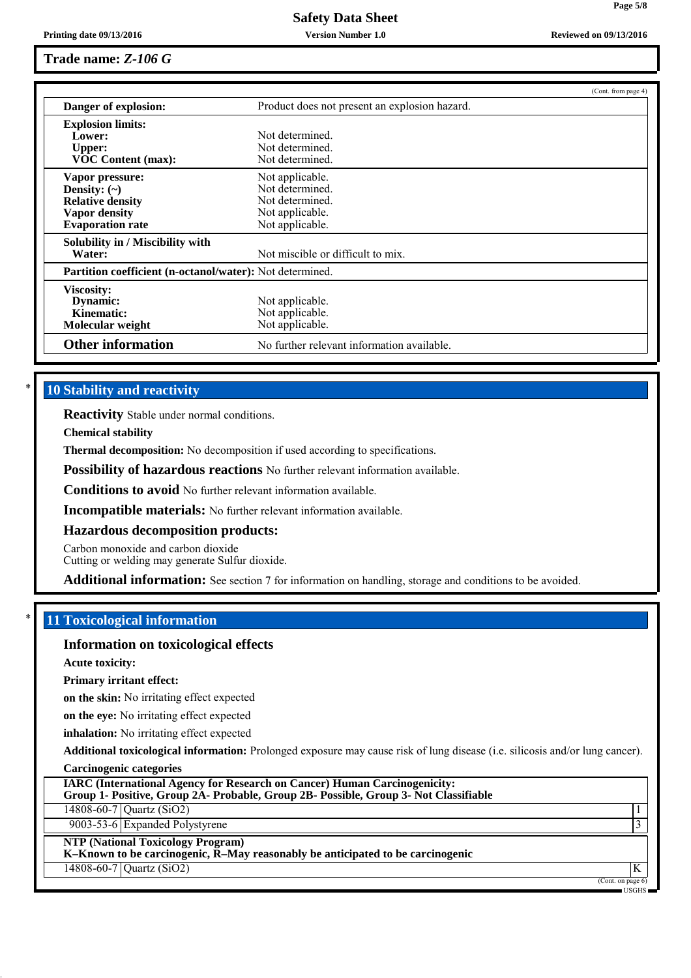**Page 5/8**

## **Trade name:** *Z-106 G*

|                                                                 | (Cont. from page 4)                           |  |
|-----------------------------------------------------------------|-----------------------------------------------|--|
| Danger of explosion:                                            | Product does not present an explosion hazard. |  |
| <b>Explosion limits:</b>                                        |                                               |  |
| Lower:                                                          | Not determined                                |  |
| <b>Upper:</b>                                                   | Not determined.                               |  |
| <b>VOC Content (max):</b>                                       | Not determined.                               |  |
| Vapor pressure:                                                 | Not applicable.                               |  |
| Density: $(\sim)$                                               | Not determined.                               |  |
| <b>Relative density</b>                                         | Not determined.                               |  |
| Vapor density                                                   | Not applicable.                               |  |
| <b>Evaporation rate</b>                                         | Not applicable.                               |  |
| Solubility in / Miscibility with                                |                                               |  |
| Water:                                                          | Not miscible or difficult to mix.             |  |
| <b>Partition coefficient (n-octanol/water):</b> Not determined. |                                               |  |
| <b>Viscosity:</b>                                               |                                               |  |
| Dynamic:                                                        | Not applicable.                               |  |
| Kinematic:                                                      | Not applicable.                               |  |
| Molecular weight                                                | Not applicable.                               |  |
| <b>Other information</b>                                        | No further relevant information available.    |  |

## **10 Stability and reactivity**

**Reactivity** Stable under normal conditions.

**Chemical stability**

**Thermal decomposition:** No decomposition if used according to specifications.

**Possibility of hazardous reactions** No further relevant information available.

**Conditions to avoid** No further relevant information available.

**Incompatible materials:** No further relevant information available.

### **Hazardous decomposition products:**

Carbon monoxide and carbon dioxide

Cutting or welding may generate Sulfur dioxide.

**Additional information:** See section 7 for information on handling, storage and conditions to be avoided.

## \* **11 Toxicological information**

### **Information on toxicological effects**

**Acute toxicity:**

**Primary irritant effect:**

**on the skin:** No irritating effect expected

**on the eye:** No irritating effect expected

**inhalation:** No irritating effect expected

**Additional toxicological information:** Prolonged exposure may cause risk of lung disease (i.e. silicosis and/or lung cancer).

|  | <b>Carcinogenic categories</b> |
|--|--------------------------------|
|  |                                |
|  |                                |

| <b>IARC (International Agency for Research on Cancer) Human Carcinogenicity:</b><br>Group 1- Positive, Group 2A- Probable, Group 2B- Possible, Group 3- Not Classifiable |                              |
|--------------------------------------------------------------------------------------------------------------------------------------------------------------------------|------------------------------|
| 14808-60-7 Quartz $(SiO2)$                                                                                                                                               |                              |
| 9003-53-6 Expanded Polystyrene                                                                                                                                           |                              |
| <b>NTP (National Toxicology Program)</b><br>$K-Known$ to be carcinogenic, $\overline{R}-May$ reasonably be anticipated to be carcinogenic                                |                              |
| 14808-60-7 Quartz $(SiO2)$                                                                                                                                               | K                            |
|                                                                                                                                                                          | (Cont. on page 6)<br>USGHS - |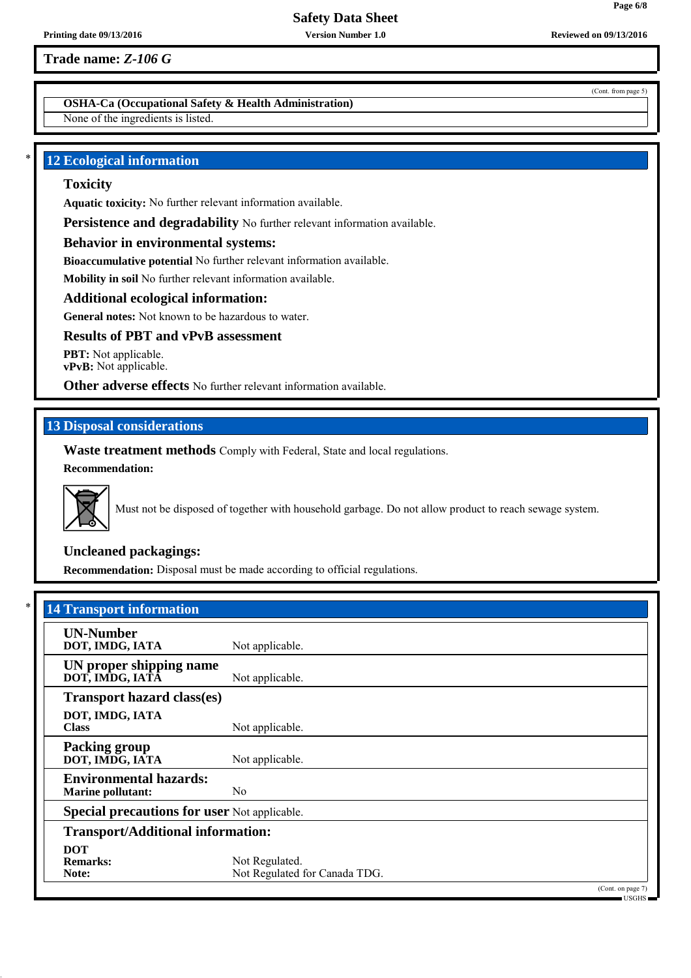**Trade name:** *Z-106 G*

## **OSHA-Ca (Occupational Safety & Health Administration)**

None of the ingredients is listed.

## **12 Ecological information**

### **Toxicity**

**Aquatic toxicity:** No further relevant information available.

Persistence and degradability No further relevant information available.

### **Behavior in environmental systems:**

**Bioaccumulative potential** No further relevant information available.

**Mobility in soil** No further relevant information available.

### **Additional ecological information:**

**General notes:** Not known to be hazardous to water.

### **Results of PBT and vPvB assessment**

**PBT:** Not applicable. **vPvB:** Not applicable.

**Other adverse effects** No further relevant information available.

## **13 Disposal considerations**

**Waste treatment methods** Comply with Federal, State and local regulations. **Recommendation:**



Must not be disposed of together with household garbage. Do not allow product to reach sewage system.

### **Uncleaned packagings:**

**Recommendation:** Disposal must be made according to official regulations.

| <b>UN-Number</b>                                    |                               |  |
|-----------------------------------------------------|-------------------------------|--|
| DOT, IMDG, IATA                                     | Not applicable.               |  |
| UN proper shipping name                             |                               |  |
| DOT, IMDG, IATĀ                                     | Not applicable.               |  |
| <b>Transport hazard class(es)</b>                   |                               |  |
| DOT, IMDG, IATA                                     |                               |  |
| <b>Class</b>                                        | Not applicable.               |  |
| <b>Packing group</b>                                |                               |  |
| DOT, IMDG, IATA                                     | Not applicable.               |  |
| <b>Environmental hazards:</b>                       |                               |  |
| <b>Marine pollutant:</b>                            | N <sub>0</sub>                |  |
| <b>Special precautions for user Not applicable.</b> |                               |  |
| <b>Transport/Additional information:</b>            |                               |  |
| <b>DOT</b>                                          |                               |  |
| <b>Remarks:</b>                                     | Not Regulated.                |  |
| Note:                                               | Not Regulated for Canada TDG. |  |

(Cont. from page 5)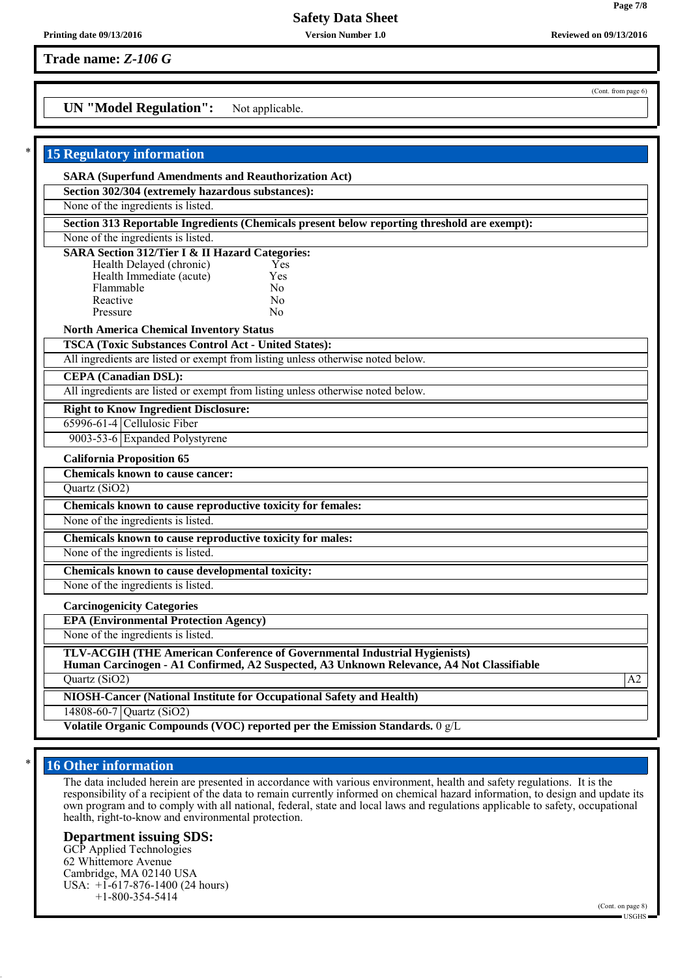**Trade name:** *Z-106 G*

## **UN "Model Regulation":** Not applicable.

| <b>15 Regulatory information</b>                                                                                                                                                                                            |    |
|-----------------------------------------------------------------------------------------------------------------------------------------------------------------------------------------------------------------------------|----|
| <b>SARA (Superfund Amendments and Reauthorization Act)</b>                                                                                                                                                                  |    |
| Section 302/304 (extremely hazardous substances):                                                                                                                                                                           |    |
| None of the ingredients is listed.                                                                                                                                                                                          |    |
| Section 313 Reportable Ingredients (Chemicals present below reporting threshold are exempt):                                                                                                                                |    |
| None of the ingredients is listed.                                                                                                                                                                                          |    |
| <b>SARA Section 312/Tier I &amp; II Hazard Categories:</b><br>Health Delayed (chronic)<br>Yes<br>Health Immediate (acute)<br>Yes<br>Flammable<br>N <sub>0</sub><br>Reactive<br>N <sub>0</sub><br>Pressure<br>N <sub>0</sub> |    |
| <b>North America Chemical Inventory Status</b>                                                                                                                                                                              |    |
| <b>TSCA (Toxic Substances Control Act - United States):</b>                                                                                                                                                                 |    |
| All ingredients are listed or exempt from listing unless otherwise noted below.                                                                                                                                             |    |
| <b>CEPA</b> (Canadian DSL):                                                                                                                                                                                                 |    |
| All ingredients are listed or exempt from listing unless otherwise noted below.                                                                                                                                             |    |
| <b>Right to Know Ingredient Disclosure:</b>                                                                                                                                                                                 |    |
| 65996-61-4 Cellulosic Fiber                                                                                                                                                                                                 |    |
| 9003-53-6 Expanded Polystyrene                                                                                                                                                                                              |    |
| <b>California Proposition 65</b>                                                                                                                                                                                            |    |
| <b>Chemicals known to cause cancer:</b>                                                                                                                                                                                     |    |
| Quartz (SiO2)                                                                                                                                                                                                               |    |
| Chemicals known to cause reproductive toxicity for females:                                                                                                                                                                 |    |
| None of the ingredients is listed.                                                                                                                                                                                          |    |
| Chemicals known to cause reproductive toxicity for males:                                                                                                                                                                   |    |
| None of the ingredients is listed.                                                                                                                                                                                          |    |
| Chemicals known to cause developmental toxicity:                                                                                                                                                                            |    |
| None of the ingredients is listed.                                                                                                                                                                                          |    |
| <b>Carcinogenicity Categories</b>                                                                                                                                                                                           |    |
| <b>EPA (Environmental Protection Agency)</b>                                                                                                                                                                                |    |
| None of the ingredients is listed.                                                                                                                                                                                          |    |
| TLV-ACGIH (THE American Conference of Governmental Industrial Hygienists)<br>Human Carcinogen - A1 Confirmed, A2 Suspected, A3 Unknown Relevance, A4 Not Classifiable                                                       |    |
| Quartz (SiO2)                                                                                                                                                                                                               | A2 |
| NIOSH-Cancer (National Institute for Occupational Safety and Health)                                                                                                                                                        |    |
| 14808-60-7 Quartz (SiO2)                                                                                                                                                                                                    |    |
| Volatile Organic Compounds (VOC) reported per the Emission Standards. 0 g/L                                                                                                                                                 |    |

## **16 Other information**

The data included herein are presented in accordance with various environment, health and safety regulations. It is the responsibility of a recipient of the data to remain currently informed on chemical hazard information, to design and update its own program and to comply with all national, federal, state and local laws and regulations applicable to safety, occupational health, right-to-know and environmental protection.

### **Department issuing SDS:**

GCP Applied Technologies 62 Whittemore Avenue Cambridge, MA 02140 USA USA: +1-617-876-1400 (24 hours) +1-800-354-5414

(Cont. from page 6)

**Printing date 09/13/2016 Version Number 1.0 Reviewed on 09/13/2016**